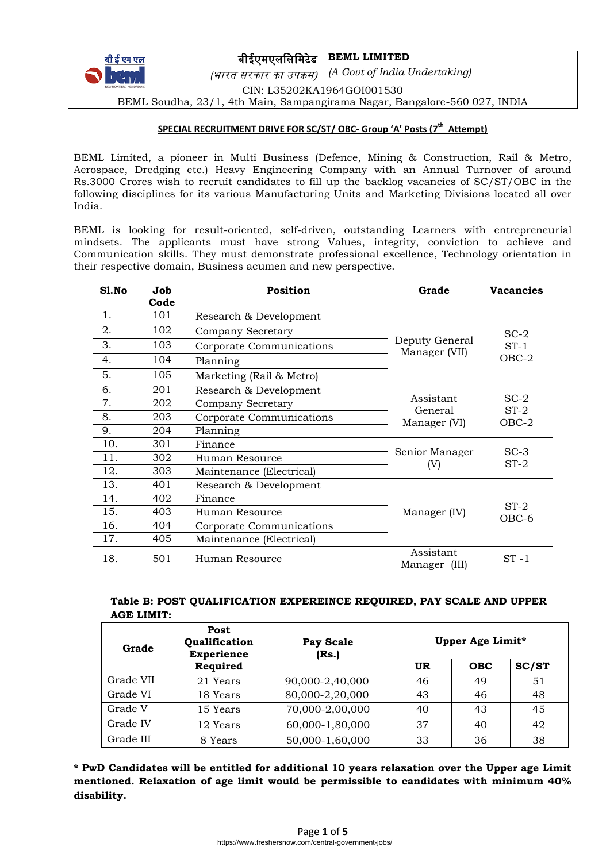

# बीईएमएललललमटेड **BEML LIMITED**

*(*भारत सरकार का उपक्रम) *(A Govt of India Undertaking)* CIN: L35202KA1964GOI001530 BEML Soudha, 23/1, 4th Main, Sampangirama Nagar, Bangalore-560 027, INDIA

# **SPECIAL RECRUITMENT DRIVE FOR SC/ST/ OBC- Group 'A' Posts (7 th Attempt)**

BEML Limited, a pioneer in Multi Business (Defence, Mining & Construction, Rail & Metro, Aerospace, Dredging etc.) Heavy Engineering Company with an Annual Turnover of around Rs.3000 Crores wish to recruit candidates to fill up the backlog vacancies of SC/ST/OBC in the following disciplines for its various Manufacturing Units and Marketing Divisions located all over India.

BEML is looking for result-oriented, self-driven, outstanding Learners with entrepreneurial mindsets. The applicants must have strong Values, integrity, conviction to achieve and Communication skills. They must demonstrate professional excellence, Technology orientation in their respective domain, Business acumen and new perspective.

| Sl.No | Job  | <b>Position</b>          | Grade                           | <b>Vacancies</b>            |
|-------|------|--------------------------|---------------------------------|-----------------------------|
|       | Code |                          |                                 |                             |
| 1.    | 101  | Research & Development   |                                 |                             |
| 2.    | 102  | Company Secretary        |                                 | $SC-2$                      |
| 3.    | 103  | Corporate Communications | Deputy General<br>Manager (VII) | $ST-1$<br>$OBC-2$           |
| 4.    | 104  | Planning                 |                                 |                             |
| 5.    | 105  | Marketing (Rail & Metro) |                                 |                             |
| 6.    | 201  | Research & Development   |                                 | $SC-2$<br>$ST-2$<br>$OBC-2$ |
| 7.    | 202  | Company Secretary        | Assistant<br>General            |                             |
| 8.    | 203  | Corporate Communications | Manager (VI)                    |                             |
| 9.    | 204  | Planning                 |                                 |                             |
| 10.   | 301  | Finance                  |                                 | $SC-3$                      |
| 11.   | 302  | Human Resource           | Senior Manager<br>(V)           | $ST-2$                      |
| 12.   | 303  | Maintenance (Electrical) |                                 |                             |
| 13.   | 401  | Research & Development   |                                 |                             |
| 14.   | 402  | Finance                  |                                 | $ST-2$<br>OBC-6             |
| 15.   | 403  | Human Resource           | Manager (IV)                    |                             |
| 16.   | 404  | Corporate Communications |                                 |                             |
| 17.   | 405  | Maintenance (Electrical) |                                 |                             |
| 18.   | 501  | Human Resource           | Assistant<br>Manager<br>(III)   | $ST -1$                     |

# **Table B: POST QUALIFICATION EXPEREINCE REQUIRED, PAY SCALE AND UPPER AGE LIMIT:**

| Grade     | Post<br>Qualification<br><b>Experience</b> | Pay Scale<br>(Rs.) | Upper Age Limit* |            |       |
|-----------|--------------------------------------------|--------------------|------------------|------------|-------|
|           | Required                                   |                    | <b>UR</b>        | <b>OBC</b> | SC/ST |
| Grade VII | 21 Years                                   | 90,000-2,40,000    | 46               | 49         | 51    |
| Grade VI  | 18 Years                                   | 80,000-2,20,000    | 43               | 46         | 48    |
| Grade V   | 15 Years                                   | 70,000-2,00,000    | 40               | 43         | 45    |
| Grade IV  | 12 Years                                   | 60,000-1,80,000    | 37               | 40         | 42    |
| Grade III | 8 Years                                    | 50,000-1,60,000    | 33               | 36         | 38    |

**\* PwD Candidates will be entitled for additional 10 years relaxation over the Upper age Limit mentioned. Relaxation of age limit would be permissible to candidates with minimum 40% disability.**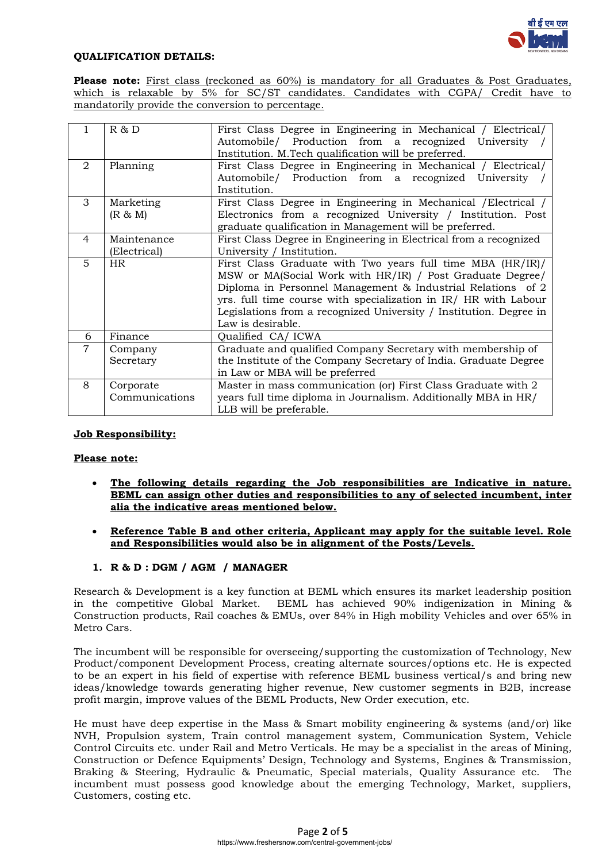

#### **QUALIFICATION DETAILS:**

Please note: First class (reckoned as 60%) is mandatory for all Graduates & Post Graduates, which is relaxable by 5% for SC/ST candidates. Candidates with CGPA/ Credit have to mandatorily provide the conversion to percentage.

|                | R & D          | First Class Degree in Engineering in Mechanical / Electrical/<br>Automobile/ Production from a recognized University |
|----------------|----------------|----------------------------------------------------------------------------------------------------------------------|
|                |                | Institution. M.Tech qualification will be preferred.                                                                 |
| $\mathcal{D}$  | Planning       | First Class Degree in Engineering in Mechanical / Electrical/                                                        |
|                |                | Automobile/ Production from a recognized University                                                                  |
|                |                | Institution.                                                                                                         |
| 3              | Marketing      | First Class Degree in Engineering in Mechanical / Electrical /                                                       |
|                | (R & M)        | Electronics from a recognized University / Institution. Post                                                         |
|                |                | graduate qualification in Management will be preferred.                                                              |
| 4              | Maintenance    | First Class Degree in Engineering in Electrical from a recognized                                                    |
|                | (Electrical)   | University / Institution.                                                                                            |
| 5              | HR             | First Class Graduate with Two years full time MBA (HR/IR)/                                                           |
|                |                | MSW or MA(Social Work with HR/IR) / Post Graduate Degree/                                                            |
|                |                | Diploma in Personnel Management & Industrial Relations of 2                                                          |
|                |                | yrs. full time course with specialization in IR/ HR with Labour                                                      |
|                |                | Legislations from a recognized University / Institution. Degree in                                                   |
|                |                | Law is desirable.                                                                                                    |
| 6              | Finance        | Qualified CA/ICWA                                                                                                    |
| $\overline{7}$ | Company        | Graduate and qualified Company Secretary with membership of                                                          |
|                | Secretary      | the Institute of the Company Secretary of India. Graduate Degree                                                     |
|                |                | in Law or MBA will be preferred                                                                                      |
| 8              | Corporate      | Master in mass communication (or) First Class Graduate with 2                                                        |
|                | Communications | years full time diploma in Journalism. Additionally MBA in HR/                                                       |
|                |                | LLB will be preferable.                                                                                              |

#### **Job Responsibility:**

# **Please note:**

- **The following details regarding the Job responsibilities are Indicative in nature. BEML can assign other duties and responsibilities to any of selected incumbent, inter alia the indicative areas mentioned below.**
- **Reference Table B and other criteria, Applicant may apply for the suitable level. Role and Responsibilities would also be in alignment of the Posts/Levels.**

## **1. R & D : DGM / AGM / MANAGER**

Research & Development is a key function at BEML which ensures its market leadership position in the competitive Global Market. BEML has achieved 90% indigenization in Mining & Construction products, Rail coaches & EMUs, over 84% in High mobility Vehicles and over 65% in Metro Cars.

The incumbent will be responsible for overseeing/supporting the customization of Technology, New Product/component Development Process, creating alternate sources/options etc. He is expected to be an expert in his field of expertise with reference BEML business vertical/s and bring new ideas/knowledge towards generating higher revenue, New customer segments in B2B, increase profit margin, improve values of the BEML Products, New Order execution, etc.

He must have deep expertise in the Mass & Smart mobility engineering & systems (and/or) like NVH, Propulsion system, Train control management system, Communication System, Vehicle Control Circuits etc. under Rail and Metro Verticals. He may be a specialist in the areas of Mining, Construction or Defence Equipments' Design, Technology and Systems, Engines & Transmission, Braking & Steering, Hydraulic & Pneumatic, Special materials, Quality Assurance etc. The incumbent must possess good knowledge about the emerging Technology, Market, suppliers, Customers, costing etc.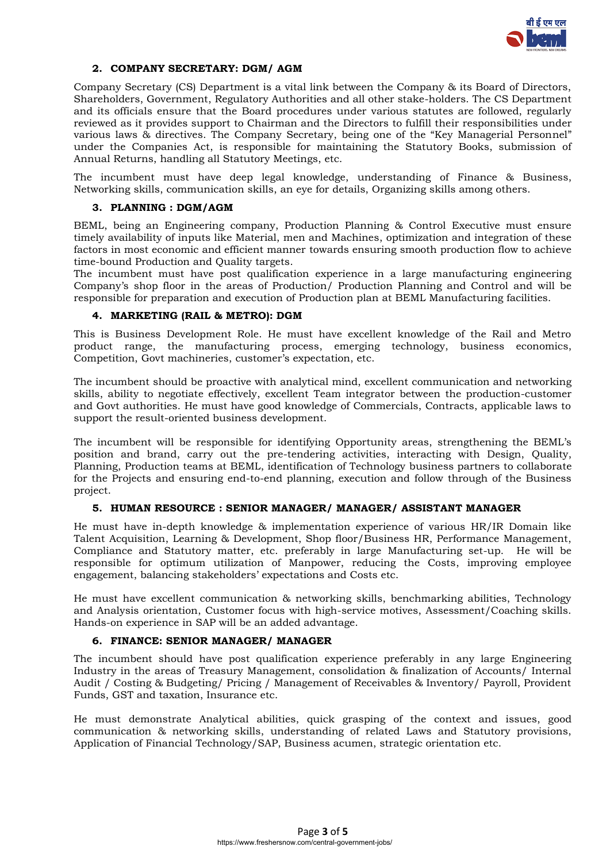

# **2. COMPANY SECRETARY: DGM/ AGM**

Company Secretary (CS) Department is a vital link between the Company & its Board of Directors, Shareholders, Government, Regulatory Authorities and all other stake-holders. The CS Department and its officials ensure that the Board procedures under various statutes are followed, regularly reviewed as it provides support to Chairman and the Directors to fulfill their responsibilities under various laws & directives. The Company Secretary, being one of the "Key Managerial Personnel" under the Companies Act, is responsible for maintaining the Statutory Books, submission of Annual Returns, handling all Statutory Meetings, etc.

The incumbent must have deep legal knowledge, understanding of Finance & Business, Networking skills, communication skills, an eye for details, Organizing skills among others.

#### **3. PLANNING : DGM/AGM**

BEML, being an Engineering company, Production Planning & Control Executive must ensure timely availability of inputs like Material, men and Machines, optimization and integration of these factors in most economic and efficient manner towards ensuring smooth production flow to achieve time-bound Production and Quality targets.

The incumbent must have post qualification experience in a large manufacturing engineering Company's shop floor in the areas of Production/ Production Planning and Control and will be responsible for preparation and execution of Production plan at BEML Manufacturing facilities.

## **4. MARKETING (RAIL & METRO): DGM**

This is Business Development Role. He must have excellent knowledge of the Rail and Metro product range, the manufacturing process, emerging technology, business economics, Competition, Govt machineries, customer's expectation, etc.

The incumbent should be proactive with analytical mind, excellent communication and networking skills, ability to negotiate effectively, excellent Team integrator between the production-customer and Govt authorities. He must have good knowledge of Commercials, Contracts, applicable laws to support the result-oriented business development.

The incumbent will be responsible for identifying Opportunity areas, strengthening the BEML's position and brand, carry out the pre-tendering activities, interacting with Design, Quality, Planning, Production teams at BEML, identification of Technology business partners to collaborate for the Projects and ensuring end-to-end planning, execution and follow through of the Business project.

# **5. HUMAN RESOURCE : SENIOR MANAGER/ MANAGER/ ASSISTANT MANAGER**

He must have in-depth knowledge & implementation experience of various HR/IR Domain like Talent Acquisition, Learning & Development, Shop floor/Business HR, Performance Management, Compliance and Statutory matter, etc. preferably in large Manufacturing set-up. He will be responsible for optimum utilization of Manpower, reducing the Costs, improving employee engagement, balancing stakeholders' expectations and Costs etc.

He must have excellent communication & networking skills, benchmarking abilities, Technology and Analysis orientation, Customer focus with high-service motives, Assessment/Coaching skills. Hands-on experience in SAP will be an added advantage.

#### **6. FINANCE: SENIOR MANAGER/ MANAGER**

The incumbent should have post qualification experience preferably in any large Engineering Industry in the areas of Treasury Management, consolidation & finalization of Accounts/ Internal Audit / Costing & Budgeting/ Pricing / Management of Receivables & Inventory/ Payroll, Provident Funds, GST and taxation, Insurance etc.

He must demonstrate Analytical abilities, quick grasping of the context and issues, good communication & networking skills, understanding of related Laws and Statutory provisions, Application of Financial Technology/SAP, Business acumen, strategic orientation etc.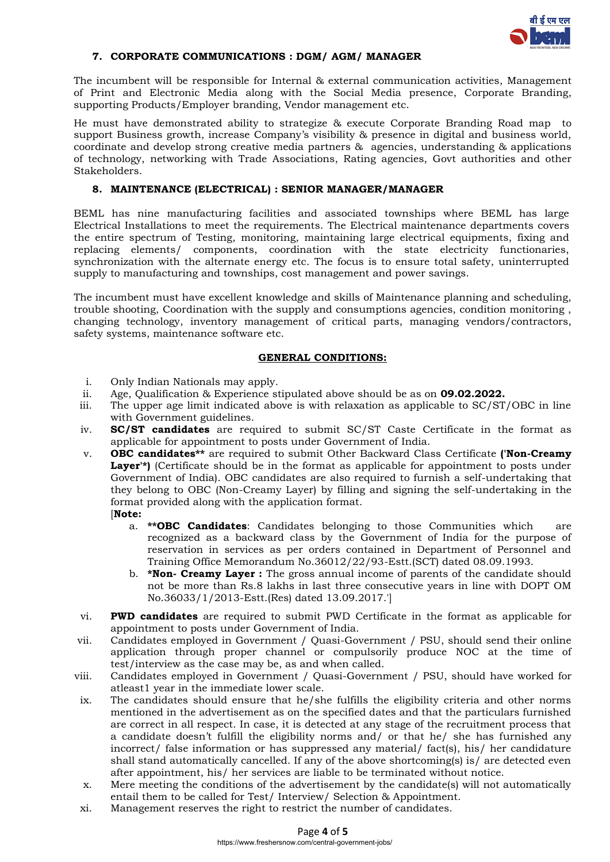

## **7. CORPORATE COMMUNICATIONS : DGM/ AGM/ MANAGER**

The incumbent will be responsible for Internal & external communication activities, Management of Print and Electronic Media along with the Social Media presence, Corporate Branding, supporting Products/Employer branding, Vendor management etc.

He must have demonstrated ability to strategize & execute Corporate Branding Road map to support Business growth, increase Company's visibility & presence in digital and business world, coordinate and develop strong creative media partners & agencies, understanding & applications of technology, networking with Trade Associations, Rating agencies, Govt authorities and other Stakeholders.

#### **8. MAINTENANCE (ELECTRICAL) : SENIOR MANAGER/MANAGER**

BEML has nine manufacturing facilities and associated townships where BEML has large Electrical Installations to meet the requirements. The Electrical maintenance departments covers the entire spectrum of Testing, monitoring, maintaining large electrical equipments, fixing and replacing elements/ components, coordination with the state electricity functionaries, synchronization with the alternate energy etc. The focus is to ensure total safety, uninterrupted supply to manufacturing and townships, cost management and power savings.

The incumbent must have excellent knowledge and skills of Maintenance planning and scheduling, trouble shooting, Coordination with the supply and consumptions agencies, condition monitoring , changing technology, inventory management of critical parts, managing vendors/contractors, safety systems, maintenance software etc.

## **GENERAL CONDITIONS:**

- i. Only Indian Nationals may apply.
- ii. Age, Qualification & Experience stipulated above should be as on **09.02.2022.**
- iii. The upper age limit indicated above is with relaxation as applicable to SC/ST/OBC in line with Government guidelines.
- iv. **SC/ST candidates** are required to submit SC/ST Caste Certificate in the format as applicable for appointment to posts under Government of India.
- v. **OBC candidates\*\*** are required to submit Other Backward Class Certificate **('Non-Creamy**  Laver<sup>'\*</sup>) (Certificate should be in the format as applicable for appointment to posts under Government of India). OBC candidates are also required to furnish a self-undertaking that they belong to OBC (Non-Creamy Layer) by filling and signing the self-undertaking in the format provided along with the application format. [**Note:**
	- a. **\*\*OBC Candidates**: Candidates belonging to those Communities which are recognized as a backward class by the Government of India for the purpose of reservation in services as per orders contained in Department of Personnel and Training Office Memorandum No.36012/22/93-Estt.(SCT) dated 08.09.1993.
	- b. **\*Non- Creamy Layer :** The gross annual income of parents of the candidate should not be more than Rs.8 lakhs in last three consecutive years in line with DOPT OM No.36033/1/2013-Estt.(Res) dated 13.09.2017.']
- vi. **PWD candidates** are required to submit PWD Certificate in the format as applicable for appointment to posts under Government of India.
- vii. Candidates employed in Government / Quasi-Government / PSU, should send their online application through proper channel or compulsorily produce NOC at the time of test/interview as the case may be, as and when called.
- viii. Candidates employed in Government / Quasi-Government / PSU, should have worked for atleast1 year in the immediate lower scale.
- ix. The candidates should ensure that he/she fulfills the eligibility criteria and other norms mentioned in the advertisement as on the specified dates and that the particulars furnished are correct in all respect. In case, it is detected at any stage of the recruitment process that a candidate doesn't fulfill the eligibility norms and/ or that he/ she has furnished any incorrect/ false information or has suppressed any material/ fact(s), his/ her candidature shall stand automatically cancelled. If any of the above shortcoming(s) is/ are detected even after appointment, his/ her services are liable to be terminated without notice.
- x. Mere meeting the conditions of the advertisement by the candidate(s) will not automatically entail them to be called for Test/ Interview/ Selection & Appointment.
- xi. Management reserves the right to restrict the number of candidates.

## Page **4** of **5**